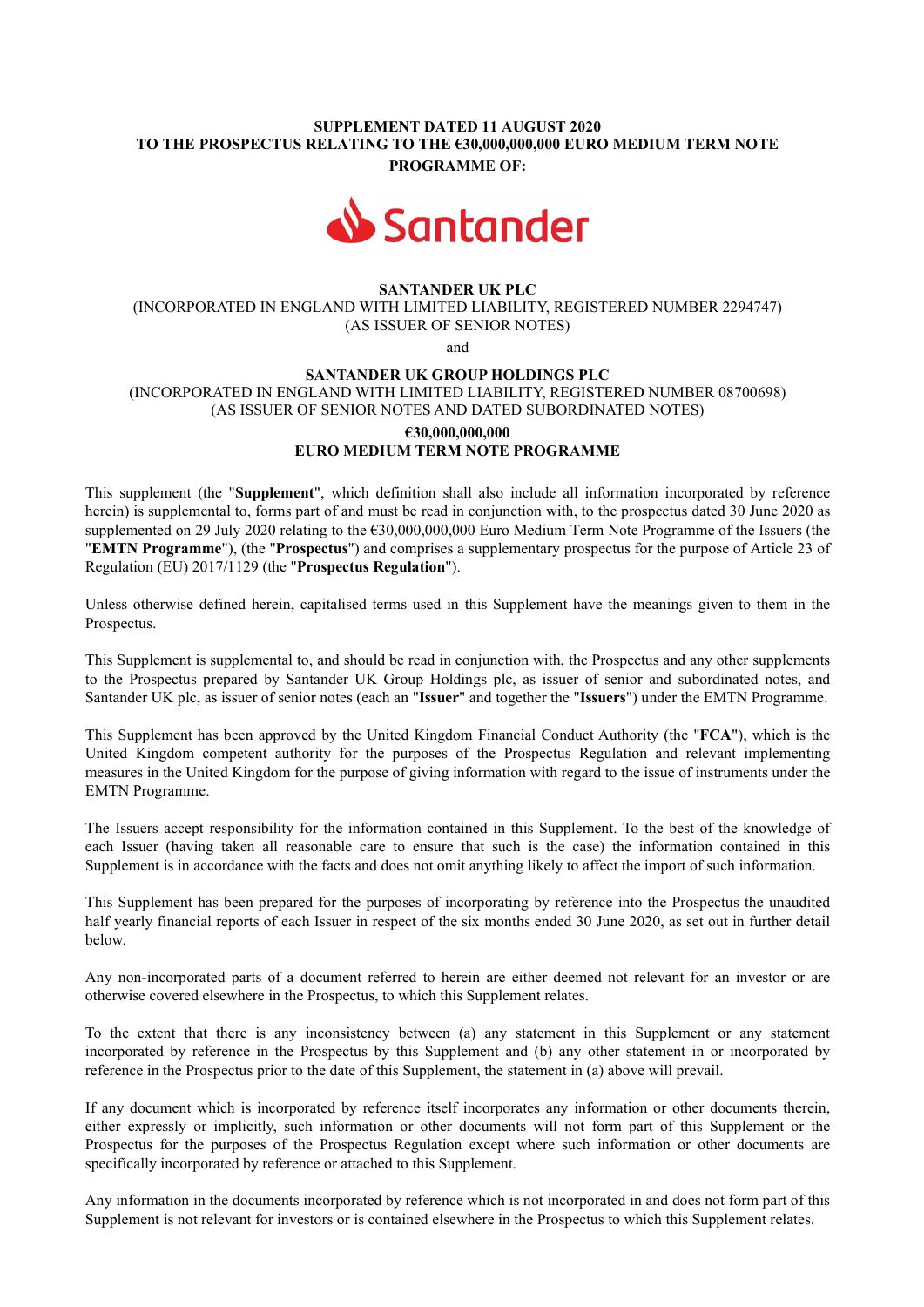## SUPPLEMENT DATED 11 AUGUST 2020 TO THE PROSPECTUS RELATING TO THE €30,000,000,000 EURO MEDIUM TERM NOTE PROGRAMME OF:



## SANTANDER UK PLC

(INCORPORATED IN ENGLAND WITH LIMITED LIABILITY, REGISTERED NUMBER 2294747) (AS ISSUER OF SENIOR NOTES)

and

# SANTANDER UK GROUP HOLDINGS PLC (INCORPORATED IN ENGLAND WITH LIMITED LIABILITY, REGISTERED NUMBER 08700698) (AS ISSUER OF SENIOR NOTES AND DATED SUBORDINATED NOTES)

#### €30,000,000,000 EURO MEDIUM TERM NOTE PROGRAMME

This supplement (the "Supplement", which definition shall also include all information incorporated by reference herein) is supplemental to, forms part of and must be read in conjunction with, to the prospectus dated 30 June 2020 as supplemented on 29 July 2020 relating to the €30,000,000,000 Euro Medium Term Note Programme of the Issuers (the "EMTN Programme"), (the "Prospectus") and comprises a supplementary prospectus for the purpose of Article 23 of Regulation (EU) 2017/1129 (the "Prospectus Regulation").

Unless otherwise defined herein, capitalised terms used in this Supplement have the meanings given to them in the Prospectus.

This Supplement is supplemental to, and should be read in conjunction with, the Prospectus and any other supplements to the Prospectus prepared by Santander UK Group Holdings plc, as issuer of senior and subordinated notes, and Santander UK plc, as issuer of senior notes (each an "Issuer" and together the "Issuers") under the EMTN Programme.

This Supplement has been approved by the United Kingdom Financial Conduct Authority (the "FCA"), which is the United Kingdom competent authority for the purposes of the Prospectus Regulation and relevant implementing measures in the United Kingdom for the purpose of giving information with regard to the issue of instruments under the EMTN Programme.

The Issuers accept responsibility for the information contained in this Supplement. To the best of the knowledge of each Issuer (having taken all reasonable care to ensure that such is the case) the information contained in this Supplement is in accordance with the facts and does not omit anything likely to affect the import of such information.

This Supplement has been prepared for the purposes of incorporating by reference into the Prospectus the unaudited half yearly financial reports of each Issuer in respect of the six months ended 30 June 2020, as set out in further detail below.

Any non-incorporated parts of a document referred to herein are either deemed not relevant for an investor or are otherwise covered elsewhere in the Prospectus, to which this Supplement relates.

To the extent that there is any inconsistency between (a) any statement in this Supplement or any statement incorporated by reference in the Prospectus by this Supplement and (b) any other statement in or incorporated by reference in the Prospectus prior to the date of this Supplement, the statement in (a) above will prevail.

If any document which is incorporated by reference itself incorporates any information or other documents therein, either expressly or implicitly, such information or other documents will not form part of this Supplement or the Prospectus for the purposes of the Prospectus Regulation except where such information or other documents are specifically incorporated by reference or attached to this Supplement.

Any information in the documents incorporated by reference which is not incorporated in and does not form part of this Supplement is not relevant for investors or is contained elsewhere in the Prospectus to which this Supplement relates.